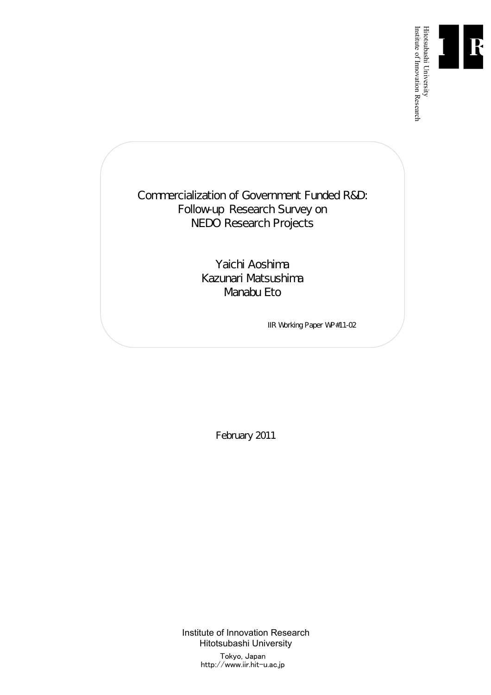

Institute of Innovation Research

Commercialization of Government Funded R&D: Follow-up Research Survey on NEDO Research Projects

> Yaichi Aoshima Kazunari Matsushima Manabu Eto

> > IIR Working Paper WP#11-02

February 2011

Institute of Innovation Research Hitotsubashi University Tokyo, Japan

http://www.iir.hit-u.ac.jp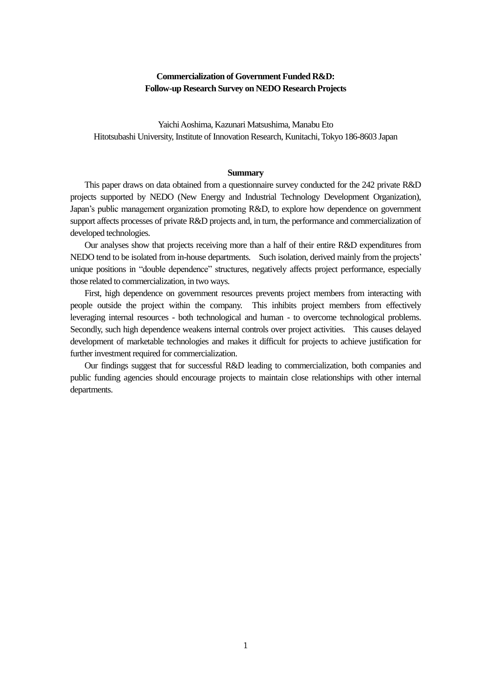# **Commercialization of Government Funded R&D: Follow-up Research Survey on NEDO Research Projects**

Yaichi Aoshima, Kazunari Matsushima, Manabu Eto Hitotsubashi University, Institute of Innovation Research, Kunitachi, Tokyo 186-8603 Japan

#### **Summary**

This paper draws on data obtained from a questionnaire survey conducted for the 242 private R&D projects supported by NEDO (New Energy and Industrial Technology Development Organization), Japan's public management organization promoting R&D, to explore how dependence on government support affects processes of private R&D projects and, in turn, the performance and commercialization of developed technologies.

Our analyses show that projects receiving more than a half of their entire R&D expenditures from NEDO tend to be isolated from in-house departments. Such isolation, derived mainly from the projects' unique positions in "double dependence" structures, negatively affects project performance, especially those related to commercialization, in two ways.

First, high dependence on government resources prevents project members from interacting with people outside the project within the company. This inhibits project members from effectively leveraging internal resources - both technological and human - to overcome technological problems. Secondly, such high dependence weakens internal controls over project activities. This causes delayed development of marketable technologies and makes it difficult for projects to achieve justification for further investment required for commercialization.

Our findings suggest that for successful R&D leading to commercialization, both companies and public funding agencies should encourage projects to maintain close relationships with other internal departments.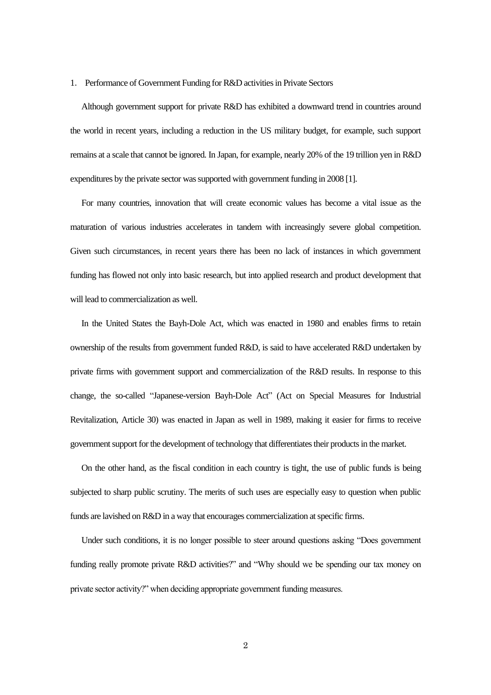#### 1. Performance of Government Funding for R&D activities in Private Sectors

Although government support for private R&D has exhibited a downward trend in countries around the world in recent years, including a reduction in the US military budget, for example, such support remains at a scale that cannot be ignored. In Japan, for example, nearly 20% of the 19 trillion yen in R&D expenditures by the private sector was supported with government funding in 2008 [1].

For many countries, innovation that will create economic values has become a vital issue as the maturation of various industries accelerates in tandem with increasingly severe global competition. Given such circumstances, in recent years there has been no lack of instances in which government funding has flowed not only into basic research, but into applied research and product development that will lead to commercialization as well.

In the United States the Bayh-Dole Act, which was enacted in 1980 and enables firms to retain ownership of the results from government funded R&D, is said to have accelerated R&D undertaken by private firms with government support and commercialization of the R&D results. In response to this change, the so-called "Japanese-version Bayh-Dole Act" (Act on Special Measures for Industrial Revitalization, Article 30) was enacted in Japan as well in 1989, making it easier for firms to receive government support for the development of technology that differentiates their products in the market.

On the other hand, as the fiscal condition in each country is tight, the use of public funds is being subjected to sharp public scrutiny. The merits of such uses are especially easy to question when public funds are lavished on R&D in a way that encourages commercialization at specific firms.

Under such conditions, it is no longer possible to steer around questions asking "Does government funding really promote private R&D activities?" and "Why should we be spending our tax money on private sector activity?" when deciding appropriate government funding measures.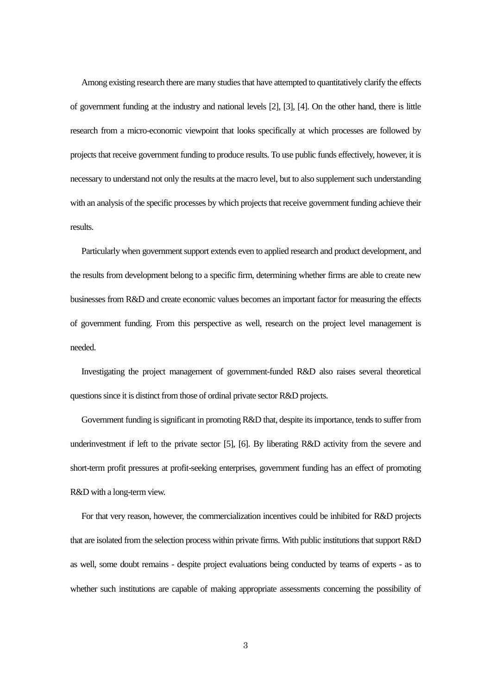Among existing research there are many studies that have attempted to quantitatively clarify the effects of government funding at the industry and national levels [2], [3], [4]. On the other hand, there is little research from a micro-economic viewpoint that looks specifically at which processes are followed by projectsthat receive government funding to produce results. To use public funds effectively, however, it is necessary to understand not only the results at the macro level, but to also supplement such understanding with an analysis of the specific processes by which projects that receive government funding achieve their results.

Particularly when government support extends even to applied research and product development, and the results from development belong to a specific firm, determining whether firms are able to create new businesses from R&D and create economic values becomes an important factor for measuring the effects of government funding. From this perspective as well, research on the project level management is needed.

Investigating the project management of government-funded R&D also raises several theoretical questions since it is distinct from those of ordinal private sector R&D projects.

Government funding is significant in promoting R&D that, despite its importance, tends to suffer from underinvestment if left to the private sector [5], [6]. By liberating R&D activity from the severe and short-term profit pressures at profit-seeking enterprises, government funding has an effect of promoting R&D with a long-term view.

For that very reason, however, the commercialization incentives could be inhibited for R&D projects that are isolated from the selection process within private firms. With public institutions that support R&D as well, some doubt remains - despite project evaluations being conducted by teams of experts - as to whether such institutions are capable of making appropriate assessments concerning the possibility of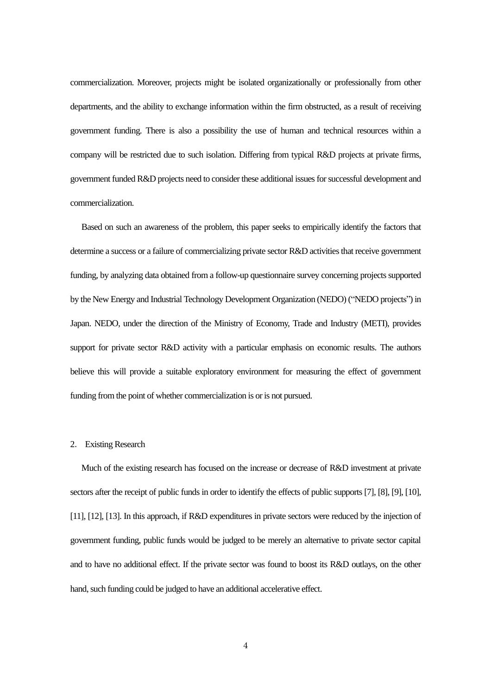commercialization. Moreover, projects might be isolated organizationally or professionally from other departments, and the ability to exchange information within the firm obstructed, as a result of receiving government funding. There is also a possibility the use of human and technical resources within a company will be restricted due to such isolation. Differing from typical R&D projects at private firms, government funded R&D projects need to consider these additional issues for successful development and commercialization.

Based on such an awareness of the problem, this paper seeks to empirically identify the factors that determine a success or a failure of commercializing private sector R&D activities that receive government funding, by analyzing data obtained from a follow-up questionnaire survey concerning projects supported by the New Energy and Industrial Technology Development Organization (NEDO) ("NEDO projects") in Japan. NEDO, under the direction of the Ministry of Economy, Trade and Industry (METI), provides support for private sector R&D activity with a particular emphasis on economic results. The authors believe this will provide a suitable exploratory environment for measuring the effect of government funding from the point of whether commercialization is or is not pursued.

### 2. Existing Research

Much of the existing research has focused on the increase or decrease of R&D investment at private sectors after the receipt of public funds in order to identify the effects of public supports [7], [8], [9], [10], [11], [12], [13]. In this approach, if R&D expenditures in private sectors were reduced by the injection of government funding, public funds would be judged to be merely an alternative to private sector capital and to have no additional effect. If the private sector was found to boost its R&D outlays, on the other hand, such funding could be judged to have an additional accelerative effect.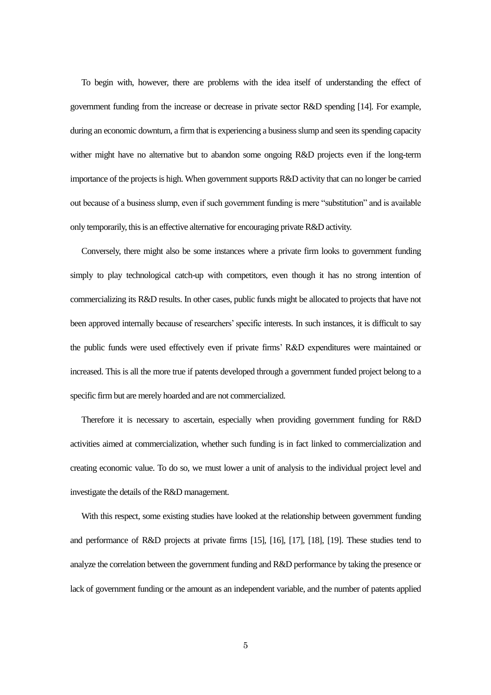To begin with, however, there are problems with the idea itself of understanding the effect of government funding from the increase or decrease in private sector R&D spending [14]. For example, during an economic downturn, a firm that is experiencing a business slump and seen its spending capacity wither might have no alternative but to abandon some ongoing R&D projects even if the long-term importance of the projectsis high. When government supports R&D activity that can no longer be carried out because of a business slump, even if such government funding is mere "substitution" and is available only temporarily, this is an effective alternative for encouraging private R&D activity.

Conversely, there might also be some instances where a private firm looks to government funding simply to play technological catch-up with competitors, even though it has no strong intention of commercializing its R&D results. In other cases, public funds might be allocated to projects that have not been approved internally because of researchers' specific interests. In such instances, it is difficult to say the public funds were used effectively even if private firms' R&D expenditures were maintained or increased. This is all the more true if patents developed through a government funded project belong to a specific firm but are merely hoarded and are not commercialized.

Therefore it is necessary to ascertain, especially when providing government funding for R&D activities aimed at commercialization, whether such funding is in fact linked to commercialization and creating economic value. To do so, we must lower a unit of analysis to the individual project level and investigate the details of the R&D management.

With this respect, some existing studies have looked at the relationship between government funding and performance of R&D projects at private firms [15], [16], [17], [18], [19]. These studies tend to analyze the correlation between the government funding and R&D performance by taking the presence or lack of government funding or the amount as an independent variable, and the number of patents applied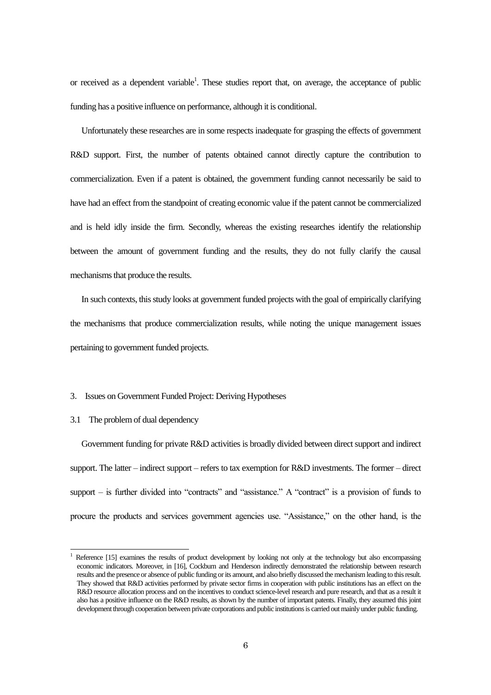or received as a dependent variable<sup>1</sup>. These studies report that, on average, the acceptance of public funding has a positive influence on performance, although it is conditional.

Unfortunately these researches are in some respects inadequate for grasping the effects of government R&D support. First, the number of patents obtained cannot directly capture the contribution to commercialization. Even if a patent is obtained, the government funding cannot necessarily be said to have had an effect from the standpoint of creating economic value if the patent cannot be commercialized and is held idly inside the firm. Secondly, whereas the existing researches identify the relationship between the amount of government funding and the results, they do not fully clarify the causal mechanisms that produce the results.

In such contexts, this study looks at government funded projects with the goal of empirically clarifying the mechanisms that produce commercialization results, while noting the unique management issues pertaining to government funded projects.

## 3. Issues on Government Funded Project: Deriving Hypotheses

## 3.1 The problem of dual dependency

1

Government funding for private R&D activities is broadly divided between direct support and indirect support. The latter – indirect support – refers to tax exemption for R&D investments. The former – direct support – is further divided into "contracts" and "assistance." A "contract" is a provision of funds to procure the products and services government agencies use. "Assistance," on the other hand, is the

Reference [15] examines the results of product development by looking not only at the technology but also encompassing economic indicators. Moreover, in [16], Cockburn and Henderson indirectly demonstrated the relationship between research results and the presence or absence of public funding or its amount, and also briefly discussed the mechanism leading to thisresult. They showed that R&D activities performed by private sector firms in cooperation with public institutions has an effect on the R&D resource allocation process and on the incentives to conduct science-level research and pure research, and that as a result it also has a positive influence on the R&D results, as shown by the number of important patents. Finally, they assumed this joint development through cooperation between private corporations and public institutions is carried out mainly under public funding.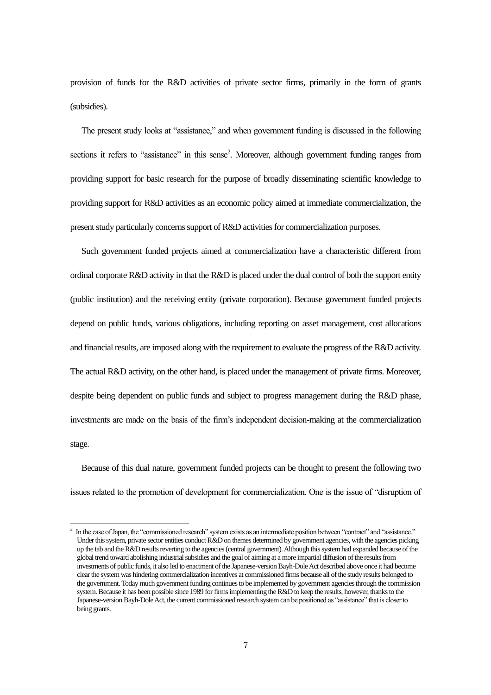provision of funds for the R&D activities of private sector firms, primarily in the form of grants (subsidies).

The present study looks at "assistance," and when government funding is discussed in the following sections it refers to "assistance" in this sense<sup>2</sup>. Moreover, although government funding ranges from providing support for basic research for the purpose of broadly disseminating scientific knowledge to providing support for R&D activities as an economic policy aimed at immediate commercialization, the present study particularly concerns support of R&D activities for commercialization purposes.

Such government funded projects aimed at commercialization have a characteristic different from ordinal corporate R&D activity in that the R&D is placed under the dual control of both the support entity (public institution) and the receiving entity (private corporation). Because government funded projects depend on public funds, various obligations, including reporting on asset management, cost allocations and financial results, are imposed along with the requirement to evaluate the progress of the R&D activity. The actual R&D activity, on the other hand, is placed under the management of private firms. Moreover, despite being dependent on public funds and subject to progress management during the R&D phase, investments are made on the basis of the firm's independent decision-making at the commercialization stage.

Because of this dual nature, government funded projects can be thought to present the following two issues related to the promotion of development for commercialization. One is the issue of "disruption of

 $\frac{1}{2}$ In the case of Japan, the "commissioned research" system exists as an intermediate position between "contract" and "assistance." Under this system, private sector entities conduct R&D on themes determined by government agencies, with the agencies picking up the tab and the R&D results reverting to the agencies (central government). Although this system had expanded because of the global trend toward abolishing industrial subsidies and the goal of aiming at a more impartial diffusion of the results from investments of public funds, it also led to enactment of the Japanese-version Bayh-Dole Act described above once it had become clear the system was hindering commercialization incentives at commissioned firms because all of the study results belonged to the government. Today much government funding continues to be implemented by government agencies through the commission system. Because it has been possible since 1989 for firms implementing the R&D to keep the results, however, thanks to the Japanese-version Bayh-Dole Act, the current commissioned research system can be positioned as "assistance" that is closer to being grants.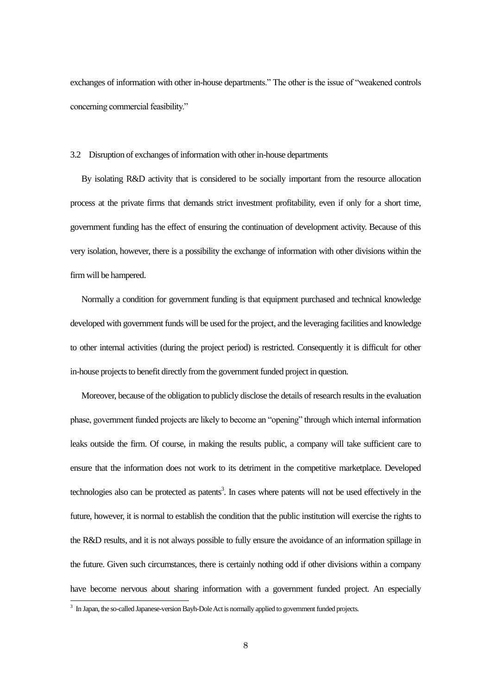exchanges of information with other in-house departments." The other is the issue of "weakened controls concerning commercial feasibility."

#### 3.2 Disruption of exchanges of information with other in-house departments

By isolating R&D activity that is considered to be socially important from the resource allocation process at the private firms that demands strict investment profitability, even if only for a short time, government funding has the effect of ensuring the continuation of development activity. Because of this very isolation, however, there is a possibility the exchange of information with other divisions within the firm will be hampered.

Normally a condition for government funding is that equipment purchased and technical knowledge developed with government funds will be used for the project, and the leveraging facilities and knowledge to other internal activities (during the project period) is restricted. Consequently it is difficult for other in-house projects to benefit directly from the government funded project in question.

Moreover, because of the obligation to publicly disclose the details of research results in the evaluation phase, government funded projects are likely to become an "opening" through which internal information leaks outside the firm. Of course, in making the results public, a company will take sufficient care to ensure that the information does not work to its detriment in the competitive marketplace. Developed technologies also can be protected as patents<sup>3</sup>. In cases where patents will not be used effectively in the future, however, it is normal to establish the condition that the public institution will exercise the rights to the R&D results, and it is not always possible to fully ensure the avoidance of an information spillage in the future. Given such circumstances, there is certainly nothing odd if other divisions within a company have become nervous about sharing information with a government funded project. An especially -

<sup>&</sup>lt;sup>3</sup> In Japan, the so-called Japanese-version Bayh-Dole Act is normally applied to government funded projects.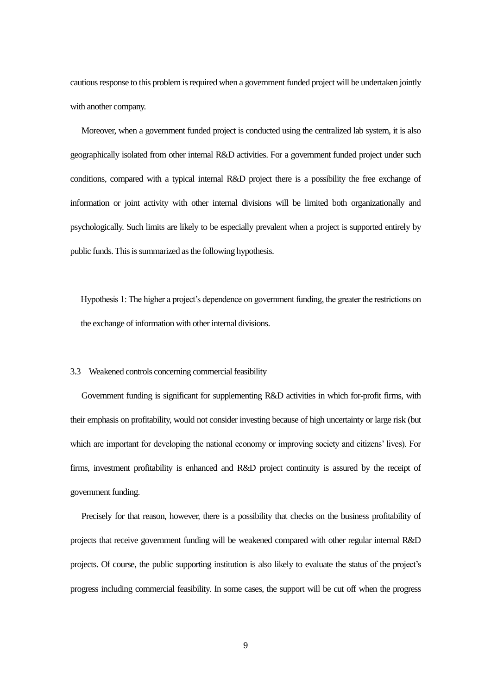cautious response to this problem is required when a government funded project will be undertaken jointly with another company.

Moreover, when a government funded project is conducted using the centralized lab system, it is also geographically isolated from other internal R&D activities. For a government funded project under such conditions, compared with a typical internal R&D project there is a possibility the free exchange of information or joint activity with other internal divisions will be limited both organizationally and psychologically. Such limits are likely to be especially prevalent when a project is supported entirely by public funds. This is summarized as the following hypothesis.

Hypothesis 1: The higher a project's dependence on government funding, the greater the restrictions on the exchange of information with other internal divisions.

#### 3.3 Weakened controls concerning commercial feasibility

Government funding is significant for supplementing R&D activities in which for-profit firms, with their emphasis on profitability, would not consider investing because of high uncertainty or large risk (but which are important for developing the national economy or improving society and citizens' lives). For firms, investment profitability is enhanced and R&D project continuity is assured by the receipt of government funding.

Precisely for that reason, however, there is a possibility that checks on the business profitability of projects that receive government funding will be weakened compared with other regular internal R&D projects. Of course, the public supporting institution is also likely to evaluate the status of the project's progress including commercial feasibility. In some cases, the support will be cut off when the progress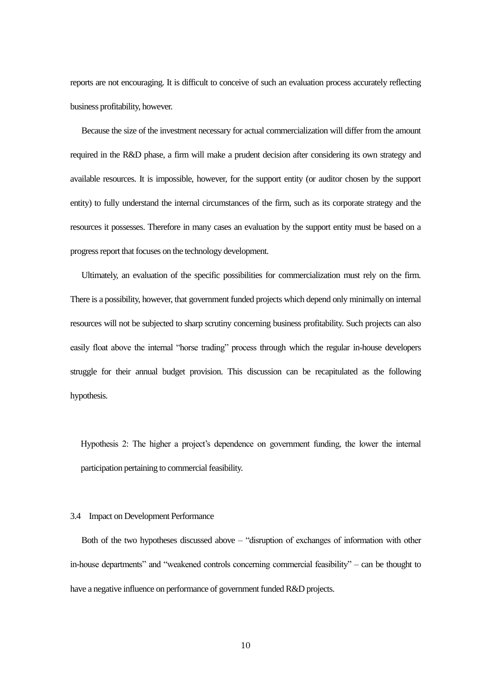reports are not encouraging. It is difficult to conceive of such an evaluation process accurately reflecting business profitability, however.

Because the size of the investment necessary for actual commercialization will differ from the amount required in the R&D phase, a firm will make a prudent decision after considering its own strategy and available resources. It is impossible, however, for the support entity (or auditor chosen by the support entity) to fully understand the internal circumstances of the firm, such as its corporate strategy and the resources it possesses. Therefore in many cases an evaluation by the support entity must be based on a progress report that focuses on the technology development.

Ultimately, an evaluation of the specific possibilities for commercialization must rely on the firm. There is a possibility, however, that government funded projects which depend only minimally on internal resources will not be subjected to sharp scrutiny concerning business profitability. Such projects can also easily float above the internal "horse trading" process through which the regular in-house developers struggle for their annual budget provision. This discussion can be recapitulated as the following hypothesis.

Hypothesis 2: The higher a project's dependence on government funding, the lower the internal participation pertaining to commercial feasibility.

## 3.4 Impact on Development Performance

Both of the two hypotheses discussed above – "disruption of exchanges of information with other in-house departments" and "weakened controls concerning commercial feasibility" – can be thought to have a negative influence on performance of government funded R&D projects.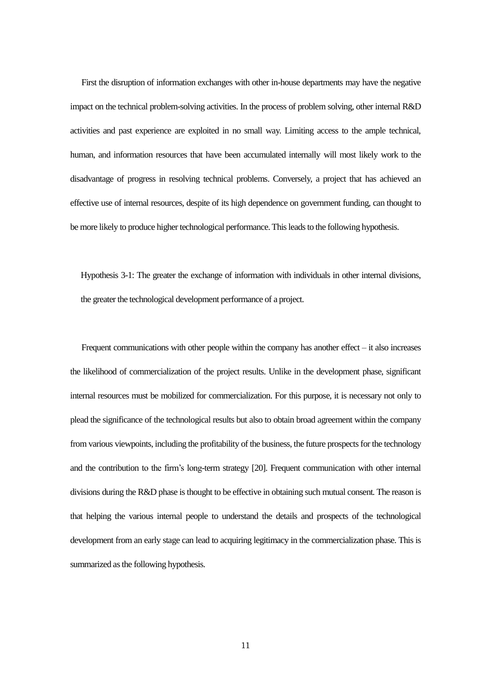First the disruption of information exchanges with other in-house departments may have the negative impact on the technical problem-solving activities. In the process of problem solving, other internal R&D activities and past experience are exploited in no small way. Limiting access to the ample technical, human, and information resources that have been accumulated internally will most likely work to the disadvantage of progress in resolving technical problems. Conversely, a project that has achieved an effective use of internal resources, despite of its high dependence on government funding, can thought to be more likely to produce higher technological performance. This leads to the following hypothesis.

Hypothesis 3-1: The greater the exchange of information with individuals in other internal divisions, the greater the technological development performance of a project.

Frequent communications with other people within the company has another effect – it also increases the likelihood of commercialization of the project results. Unlike in the development phase, significant internal resources must be mobilized for commercialization. For this purpose, it is necessary not only to plead the significance of the technological results but also to obtain broad agreement within the company from various viewpoints, including the profitability of the business, the future prospects for the technology and the contribution to the firm's long-term strategy [20]. Frequent communication with other internal divisions during the R&D phase is thought to be effective in obtaining such mutual consent. The reason is that helping the various internal people to understand the details and prospects of the technological development from an early stage can lead to acquiring legitimacy in the commercialization phase. This is summarized as the following hypothesis.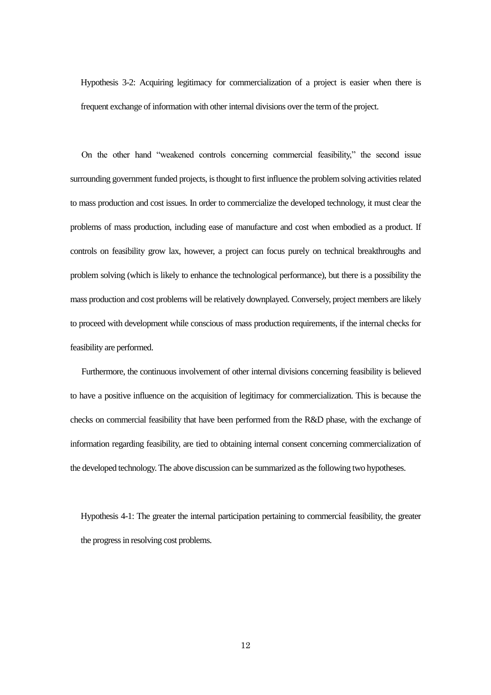Hypothesis 3-2: Acquiring legitimacy for commercialization of a project is easier when there is frequent exchange of information with other internal divisions over the term of the project.

On the other hand "weakened controls concerning commercial feasibility," the second issue surrounding government funded projects, is thought to first influence the problem solving activities related to mass production and cost issues. In order to commercialize the developed technology, it must clear the problems of mass production, including ease of manufacture and cost when embodied as a product. If controls on feasibility grow lax, however, a project can focus purely on technical breakthroughs and problem solving (which is likely to enhance the technological performance), but there is a possibility the mass production and cost problems will be relatively downplayed. Conversely, project members are likely to proceed with development while conscious of mass production requirements, if the internal checks for feasibility are performed.

Furthermore, the continuous involvement of other internal divisions concerning feasibility is believed to have a positive influence on the acquisition of legitimacy for commercialization. This is because the checks on commercial feasibility that have been performed from the R&D phase, with the exchange of information regarding feasibility, are tied to obtaining internal consent concerning commercialization of the developed technology. The above discussion can be summarized as the following two hypotheses.

Hypothesis 4-1: The greater the internal participation pertaining to commercial feasibility, the greater the progress in resolving cost problems.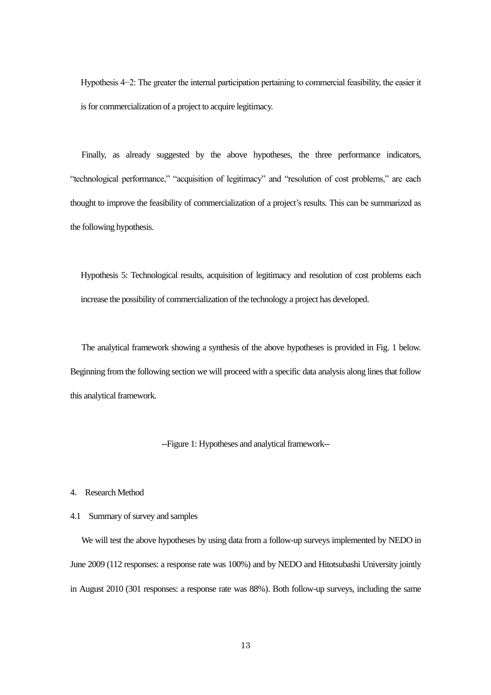Hypothesis 4−2: The greater the internal participation pertaining to commercial feasibility, the easier it is for commercialization of a project to acquire legitimacy.

Finally, as already suggested by the above hypotheses, the three performance indicators, "technological performance," "acquisition of legitimacy" and "resolution of cost problems," are each thought to improve the feasibility of commercialization of a project's results. This can be summarized as the following hypothesis.

Hypothesis 5: Technological results, acquisition of legitimacy and resolution of cost problems each increase the possibility of commercialization of the technology a project has developed.

The analytical framework showing a synthesis of the above hypotheses is provided in Fig. 1 below. Beginning from the following section we will proceed with a specific data analysis along lines that follow this analytical framework.

--Figure 1: Hypotheses and analytical framework--

4. Research Method

## 4.1 Summary of survey and samples

We will test the above hypotheses by using data from a follow-up surveys implemented by NEDO in June 2009 (112 responses: a response rate was 100%) and by NEDO and Hitotsubashi University jointly in August 2010 (301 responses: a response rate was 88%). Both follow-up surveys, including the same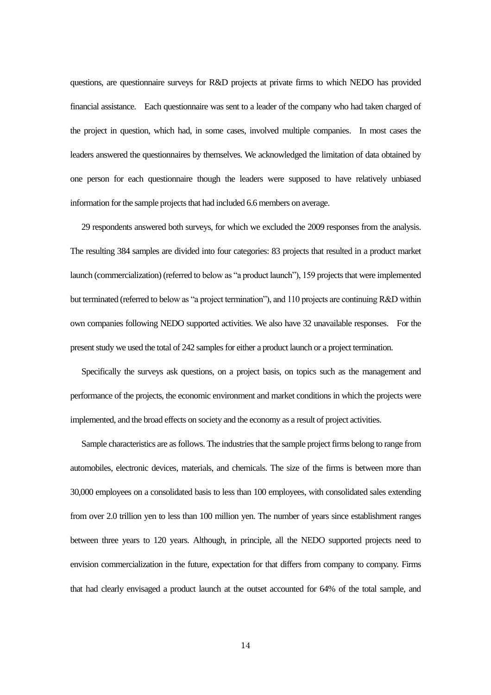questions, are questionnaire surveys for R&D projects at private firms to which NEDO has provided financial assistance. Each questionnaire was sent to a leader of the company who had taken charged of the project in question, which had, in some cases, involved multiple companies. In most cases the leaders answered the questionnaires by themselves. We acknowledged the limitation of data obtained by one person for each questionnaire though the leaders were supposed to have relatively unbiased information for the sample projects that had included 6.6 members on average.

29 respondents answered both surveys, for which we excluded the 2009 responses from the analysis. The resulting 384 samples are divided into four categories: 83 projects that resulted in a product market launch (commercialization) (referred to below as "a product launch"), 159 projects that were implemented but terminated (referred to below as "a project termination"), and 110 projects are continuing R&D within own companies following NEDO supported activities. We also have 32 unavailable responses. For the present study we used the total of 242 samples for either a product launch or a project termination.

Specifically the surveys ask questions, on a project basis, on topics such as the management and performance of the projects, the economic environment and market conditions in which the projects were implemented, and the broad effects on society and the economy as a result of project activities.

Sample characteristics are as follows. The industries that the sample project firms belong to range from automobiles, electronic devices, materials, and chemicals. The size of the firms is between more than 30,000 employees on a consolidated basis to less than 100 employees, with consolidated sales extending from over 2.0 trillion yen to less than 100 million yen. The number of years since establishment ranges between three years to 120 years. Although, in principle, all the NEDO supported projects need to envision commercialization in the future, expectation for that differs from company to company. Firms that had clearly envisaged a product launch at the outset accounted for 64% of the total sample, and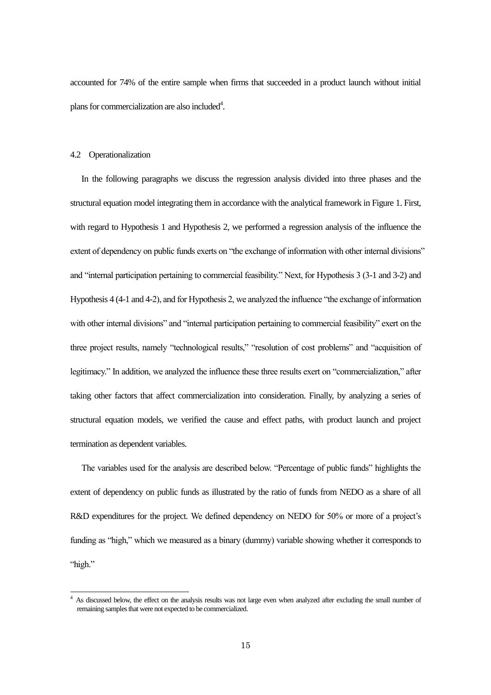accounted for 74% of the entire sample when firms that succeeded in a product launch without initial plans for commercialization are also included<sup>4</sup>.

#### 4.2 Operationalization

1

In the following paragraphs we discuss the regression analysis divided into three phases and the structural equation model integrating them in accordance with the analytical framework in Figure 1. First, with regard to Hypothesis 1 and Hypothesis 2, we performed a regression analysis of the influence the extent of dependency on public funds exerts on "the exchange of information with other internal divisions" and "internal participation pertaining to commercial feasibility." Next, for Hypothesis 3 (3-1 and 3-2) and Hypothesis 4 (4-1 and 4-2), and for Hypothesis 2, we analyzed the influence "the exchange of information with other internal divisions" and "internal participation pertaining to commercial feasibility" exert on the three project results, namely "technological results," "resolution of cost problems" and "acquisition of legitimacy." In addition, we analyzed the influence these three results exert on "commercialization," after taking other factors that affect commercialization into consideration. Finally, by analyzing a series of structural equation models, we verified the cause and effect paths, with product launch and project termination as dependent variables.

The variables used for the analysis are described below. "Percentage of public funds" highlights the extent of dependency on public funds as illustrated by the ratio of funds from NEDO as a share of all R&D expenditures for the project. We defined dependency on NEDO for 50% or more of a project's funding as "high," which we measured as a binary (dummy) variable showing whether it corresponds to "high."

As discussed below, the effect on the analysis results was not large even when analyzed after excluding the small number of remaining samples that were not expected to be commercialized.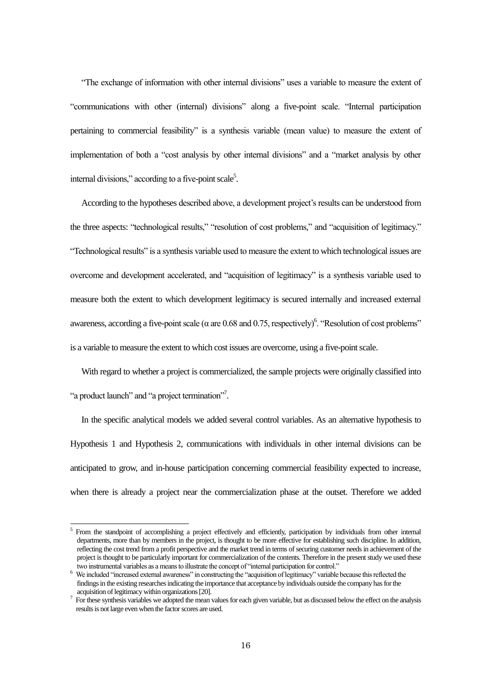"The exchange of information with other internal divisions" uses a variable to measure the extent of "communications with other (internal) divisions" along a five-point scale. "Internal participation pertaining to commercial feasibility" is a synthesis variable (mean value) to measure the extent of implementation of both a "cost analysis by other internal divisions" and a "market analysis by other internal divisions," according to a five-point scale<sup>5</sup>.

According to the hypotheses described above, a development project's results can be understood from the three aspects: "technological results," "resolution of cost problems," and "acquisition of legitimacy." "Technological results" is a synthesis variable used to measure the extent to which technological issues are overcome and development accelerated, and "acquisition of legitimacy" is a synthesis variable used to measure both the extent to which development legitimacy is secured internally and increased external awareness, according a five-point scale ( $\alpha$  are 0.68 and 0.75, respectively)<sup>6</sup>. "Resolution of cost problems" is a variable to measure the extent to which cost issues are overcome, using a five-point scale.

With regard to whether a project is commercialized, the sample projects were originally classified into "a product launch" and "a project termination"<sup>7</sup>.

In the specific analytical models we added several control variables. As an alternative hypothesis to Hypothesis 1 and Hypothesis 2, communications with individuals in other internal divisions can be anticipated to grow, and in-house participation concerning commercial feasibility expected to increase, when there is already a project near the commercialization phase at the outset. Therefore we added

-

<sup>5</sup> From the standpoint of accomplishing a project effectively and efficiently, participation by individuals from other internal departments, more than by members in the project, is thought to be more effective for establishing such discipline. In addition, reflecting the cost trend from a profit perspective and the market trend in terms of securing customer needs in achievement of the project is thought to be particularly important for commercialization of the contents. Therefore in the present study we used these two instrumental variables as a means to illustrate the concept of "internal participation for control."

<sup>&</sup>lt;sup>6</sup> We included "increased external awareness" in constructing the "acquisition of legitimacy" variable because this reflected the findings in the existing researches indicating the importance that acceptance by individuals outside the company has for the acquisition of legitimacy within organizations[20].

 $<sup>7</sup>$  For these synthesis variables we adopted the mean values for each given variable, but as discussed below the effect on the analysis</sup> results is not large even when the factor scores are used.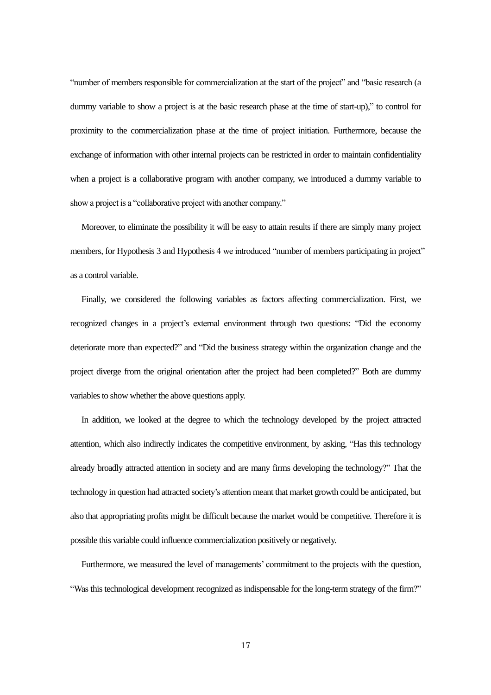"number of members responsible for commercialization at the start of the project" and "basic research (a dummy variable to show a project is at the basic research phase at the time of start-up)," to control for proximity to the commercialization phase at the time of project initiation. Furthermore, because the exchange of information with other internal projects can be restricted in order to maintain confidentiality when a project is a collaborative program with another company, we introduced a dummy variable to show a project is a "collaborative project with another company."

Moreover, to eliminate the possibility it will be easy to attain results if there are simply many project members, for Hypothesis 3 and Hypothesis 4 we introduced "number of members participating in project" as a control variable.

Finally, we considered the following variables as factors affecting commercialization. First, we recognized changes in a project's external environment through two questions: "Did the economy deteriorate more than expected?" and "Did the business strategy within the organization change and the project diverge from the original orientation after the project had been completed?" Both are dummy variables to show whether the above questions apply.

In addition, we looked at the degree to which the technology developed by the project attracted attention, which also indirectly indicates the competitive environment, by asking, "Has this technology already broadly attracted attention in society and are many firms developing the technology?" That the technology in question had attracted society's attention meant that market growth could be anticipated, but also that appropriating profits might be difficult because the market would be competitive. Therefore it is possible this variable could influence commercialization positively or negatively.

Furthermore, we measured the level of managements' commitment to the projects with the question, "Was this technological development recognized as indispensable for the long-term strategy of the firm?"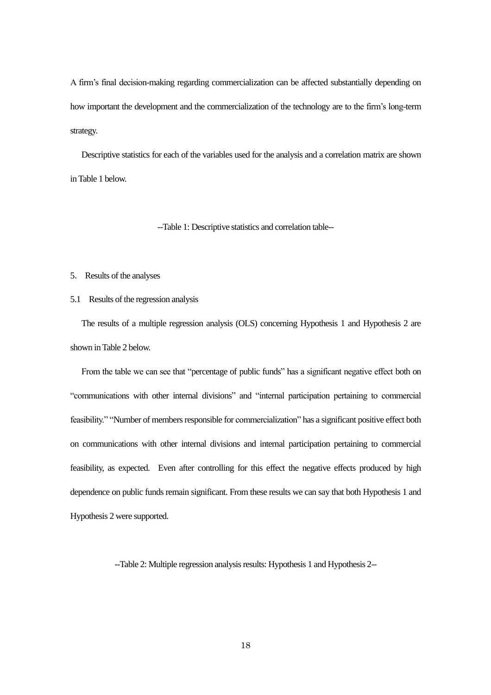A firm's final decision-making regarding commercialization can be affected substantially depending on how important the development and the commercialization of the technology are to the firm's long-term strategy.

Descriptive statistics for each of the variables used for the analysis and a correlation matrix are shown in Table 1 below.

--Table 1: Descriptive statistics and correlation table--

## 5. Results of the analyses

## 5.1 Results of the regression analysis

The results of a multiple regression analysis (OLS) concerning Hypothesis 1 and Hypothesis 2 are shown in Table 2 below.

From the table we can see that "percentage of public funds" has a significant negative effect both on "communications with other internal divisions" and "internal participation pertaining to commercial feasibility." "Number of members responsible for commercialization" has a significant positive effect both on communications with other internal divisions and internal participation pertaining to commercial feasibility, as expected. Even after controlling for this effect the negative effects produced by high dependence on public funds remain significant. From these results we can say that both Hypothesis 1 and Hypothesis 2 were supported.

--Table 2: Multiple regression analysis results: Hypothesis 1 and Hypothesis 2--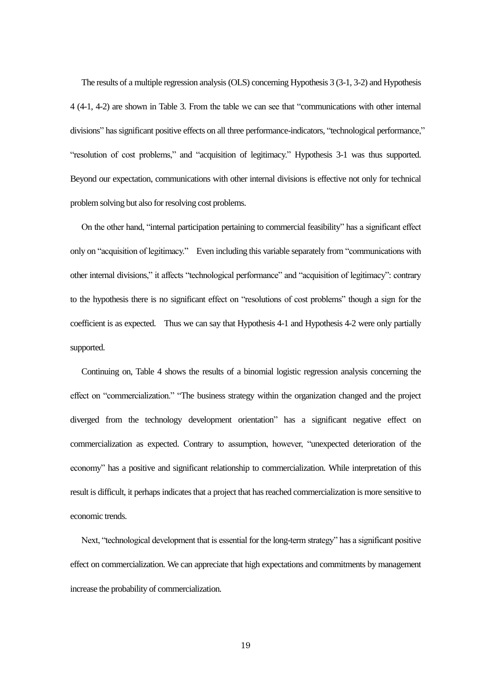The results of a multiple regression analysis (OLS) concerning Hypothesis 3 (3-1, 3-2) and Hypothesis 4 (4-1, 4-2) are shown in Table 3. From the table we can see that "communications with other internal divisions" has significant positive effects on all three performance-indicators, "technological performance," "resolution of cost problems," and "acquisition of legitimacy." Hypothesis 3-1 was thus supported. Beyond our expectation, communications with other internal divisions is effective not only for technical problem solving but also for resolving cost problems.

On the other hand, "internal participation pertaining to commercial feasibility" has a significant effect only on "acquisition of legitimacy." Even including this variable separately from "communications with other internal divisions," it affects "technological performance" and "acquisition of legitimacy": contrary to the hypothesis there is no significant effect on "resolutions of cost problems" though a sign for the coefficient is as expected. Thus we can say that Hypothesis 4-1 and Hypothesis 4-2 were only partially supported.

Continuing on, Table 4 shows the results of a binomial logistic regression analysis concerning the effect on "commercialization." "The business strategy within the organization changed and the project diverged from the technology development orientation" has a significant negative effect on commercialization as expected. Contrary to assumption, however, "unexpected deterioration of the economy" has a positive and significant relationship to commercialization. While interpretation of this result is difficult, it perhaps indicates that a project that has reached commercialization is more sensitive to economic trends.

Next, "technological development that is essential for the long-term strategy" has a significant positive effect on commercialization. We can appreciate that high expectations and commitments by management increase the probability of commercialization.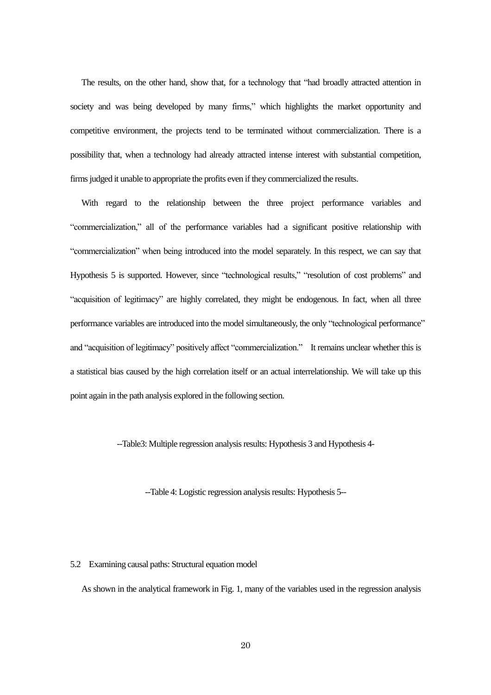The results, on the other hand, show that, for a technology that "had broadly attracted attention in society and was being developed by many firms," which highlights the market opportunity and competitive environment, the projects tend to be terminated without commercialization. There is a possibility that, when a technology had already attracted intense interest with substantial competition, firms judged it unable to appropriate the profits even if they commercialized the results.

With regard to the relationship between the three project performance variables and "commercialization," all of the performance variables had a significant positive relationship with "commercialization" when being introduced into the model separately. In this respect, we can say that Hypothesis 5 is supported. However, since "technological results," "resolution of cost problems" and "acquisition of legitimacy" are highly correlated, they might be endogenous. In fact, when all three performance variables are introduced into the model simultaneously, the only "technological performance" and "acquisition of legitimacy" positively affect "commercialization." It remains unclear whether this is a statistical bias caused by the high correlation itself or an actual interrelationship. We will take up this point again in the path analysis explored in the following section.

--Table3: Multiple regression analysis results: Hypothesis 3 and Hypothesis 4-

--Table 4: Logistic regression analysis results: Hypothesis 5--

## 5.2 Examining causal paths: Structural equation model

As shown in the analytical framework in Fig. 1, many of the variables used in the regression analysis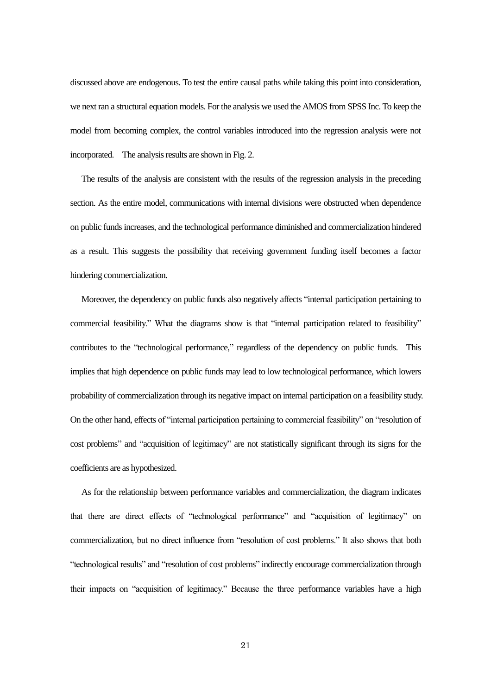discussed above are endogenous. To test the entire causal paths while taking this point into consideration, we next ran a structural equation models. For the analysis we used the AMOS from SPSS Inc. To keep the model from becoming complex, the control variables introduced into the regression analysis were not incorporated. The analysis results are shown in Fig. 2.

The results of the analysis are consistent with the results of the regression analysis in the preceding section. As the entire model, communications with internal divisions were obstructed when dependence on public funds increases, and the technological performance diminished and commercialization hindered as a result. This suggests the possibility that receiving government funding itself becomes a factor hindering commercialization.

Moreover, the dependency on public funds also negatively affects "internal participation pertaining to commercial feasibility." What the diagrams show is that "internal participation related to feasibility" contributes to the "technological performance," regardless of the dependency on public funds. This implies that high dependence on public funds may lead to low technological performance, which lowers probability of commercialization through its negative impact on internal participation on a feasibility study. On the other hand, effects of "internal participation pertaining to commercial feasibility" on "resolution of cost problems" and "acquisition of legitimacy" are not statistically significant through its signs for the coefficients are as hypothesized.

As for the relationship between performance variables and commercialization, the diagram indicates that there are direct effects of "technological performance" and "acquisition of legitimacy" on commercialization, but no direct influence from "resolution of cost problems." It also shows that both "technological results" and "resolution of cost problems" indirectly encourage commercialization through their impacts on "acquisition of legitimacy." Because the three performance variables have a high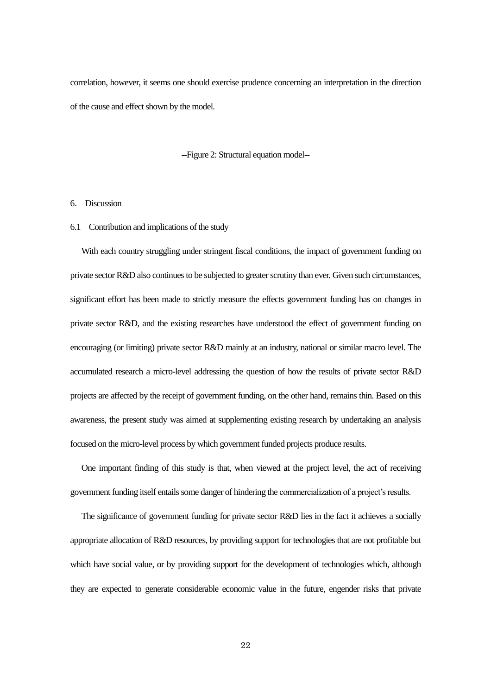correlation, however, it seems one should exercise prudence concerning an interpretation in the direction of the cause and effect shown by the model.

--Figure 2: Structural equation model--

## 6. Discussion

### 6.1 Contribution and implications of the study

With each country struggling under stringent fiscal conditions, the impact of government funding on private sector R&D also continues to be subjected to greater scrutiny than ever. Given such circumstances, significant effort has been made to strictly measure the effects government funding has on changes in private sector R&D, and the existing researches have understood the effect of government funding on encouraging (or limiting) private sector R&D mainly at an industry, national or similar macro level. The accumulated research a micro-level addressing the question of how the results of private sector R&D projects are affected by the receipt of government funding, on the other hand, remains thin. Based on this awareness, the present study was aimed at supplementing existing research by undertaking an analysis focused on the micro-level process by which government funded projects produce results.

One important finding of this study is that, when viewed at the project level, the act of receiving government funding itself entails some danger of hindering the commercialization of a project's results.

The significance of government funding for private sector R&D lies in the fact it achieves a socially appropriate allocation of R&D resources, by providing support for technologies that are not profitable but which have social value, or by providing support for the development of technologies which, although they are expected to generate considerable economic value in the future, engender risks that private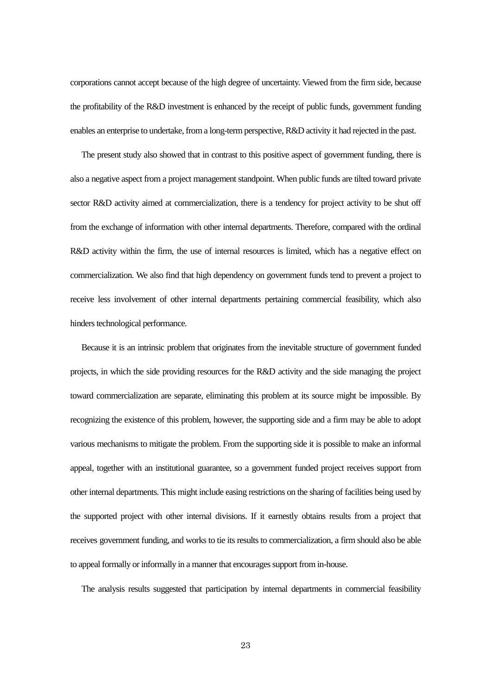corporations cannot accept because of the high degree of uncertainty. Viewed from the firm side, because the profitability of the R&D investment is enhanced by the receipt of public funds, government funding enables an enterprise to undertake, from a long-term perspective, R&D activity it had rejected in the past.

The present study also showed that in contrast to this positive aspect of government funding, there is also a negative aspect from a project management standpoint. When public funds are tilted toward private sector R&D activity aimed at commercialization, there is a tendency for project activity to be shut off from the exchange of information with other internal departments. Therefore, compared with the ordinal R&D activity within the firm, the use of internal resources is limited, which has a negative effect on commercialization. We also find that high dependency on government funds tend to prevent a project to receive less involvement of other internal departments pertaining commercial feasibility, which also hinders technological performance.

Because it is an intrinsic problem that originates from the inevitable structure of government funded projects, in which the side providing resources for the R&D activity and the side managing the project toward commercialization are separate, eliminating this problem at its source might be impossible. By recognizing the existence of this problem, however, the supporting side and a firm may be able to adopt various mechanisms to mitigate the problem. From the supporting side it is possible to make an informal appeal, together with an institutional guarantee, so a government funded project receives support from other internal departments. This might include easing restrictions on the sharing of facilities being used by the supported project with other internal divisions. If it earnestly obtains results from a project that receives government funding, and works to tie its results to commercialization, a firm should also be able to appeal formally or informally in a manner that encourages support from in-house.

The analysis results suggested that participation by internal departments in commercial feasibility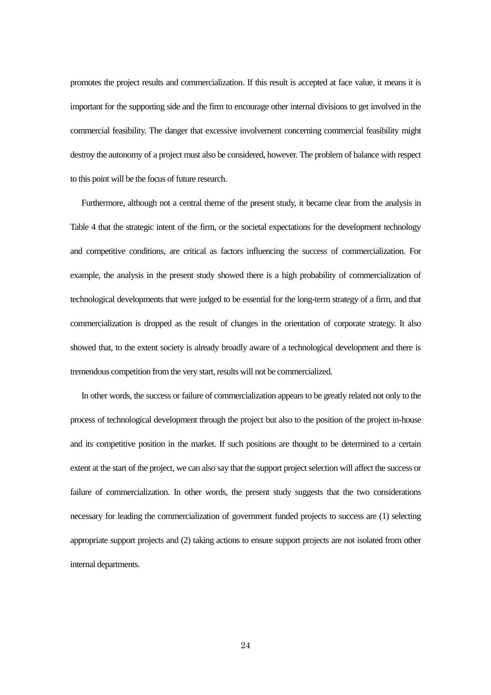promotes the project results and commercialization. If this result is accepted at face value, it means it is important for the supporting side and the firm to encourage other internal divisions to get involved in the commercial feasibility. The danger that excessive involvement concerning commercial feasibility might destroy the autonomy of a project must also be considered, however. The problem of balance with respect to this point will be the focus of future research.

Furthermore, although not a central theme of the present study, it became clear from the analysis in Table 4 that the strategic intent of the firm, or the societal expectations for the development technology and competitive conditions, are critical as factors influencing the success of commercialization. For example, the analysis in the present study showed there is a high probability of commercialization of technological developments that were judged to be essential for the long-term strategy of a firm, and that commercialization is dropped as the result of changes in the orientation of corporate strategy. It also showed that, to the extent society is already broadly aware of a technological development and there is tremendous competition from the very start, results will not be commercialized.

In other words, the success or failure of commercialization appears to be greatly related not only to the process of technological development through the project but also to the position of the project in-house and its competitive position in the market. If such positions are thought to be determined to a certain extent at the start of the project, we can also say that the support project selection will affect the success or failure of commercialization. In other words, the present study suggests that the two considerations necessary for leading the commercialization of government funded projects to success are (1) selecting appropriate support projects and (2) taking actions to ensure support projects are not isolated from other internal departments.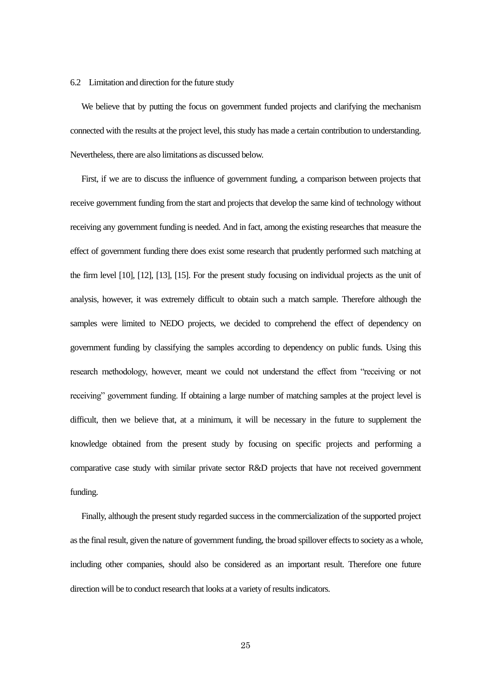#### 6.2 Limitation and direction for the future study

We believe that by putting the focus on government funded projects and clarifying the mechanism connected with the results at the project level, this study has made a certain contribution to understanding. Nevertheless, there are also limitations as discussed below.

First, if we are to discuss the influence of government funding, a comparison between projects that receive government funding from the start and projects that develop the same kind of technology without receiving any government funding is needed. And in fact, among the existing researches that measure the effect of government funding there does exist some research that prudently performed such matching at the firm level [10], [12], [13], [15]. For the present study focusing on individual projects as the unit of analysis, however, it was extremely difficult to obtain such a match sample. Therefore although the samples were limited to NEDO projects, we decided to comprehend the effect of dependency on government funding by classifying the samples according to dependency on public funds. Using this research methodology, however, meant we could not understand the effect from "receiving or not receiving" government funding. If obtaining a large number of matching samples at the project level is difficult, then we believe that, at a minimum, it will be necessary in the future to supplement the knowledge obtained from the present study by focusing on specific projects and performing a comparative case study with similar private sector R&D projects that have not received government funding.

Finally, although the present study regarded success in the commercialization of the supported project as the final result, given the nature of government funding, the broad spillover effects to society as a whole, including other companies, should also be considered as an important result. Therefore one future direction will be to conduct research that looks at a variety of results indicators.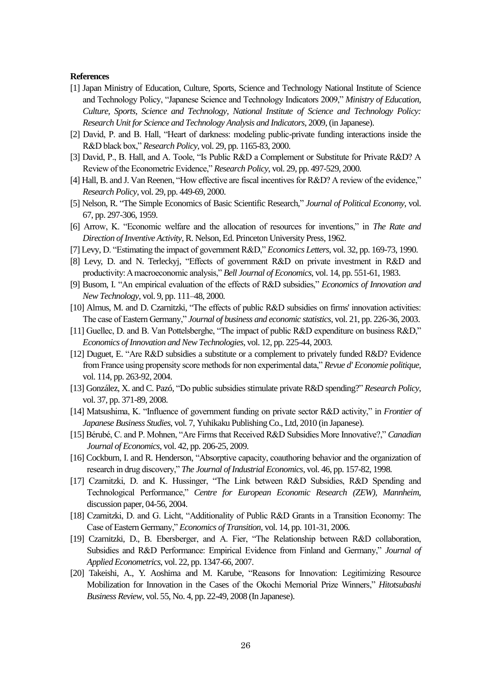## **References**

- [1] Japan Ministry of Education, Culture, Sports, Science and Technology National Institute of Science and Technology Policy, "Japanese Science and Technology Indicators 2009," *Ministry of Education, Culture, Sports, Science and Technology, National Institute of Science and Technology Policy: Research Unit for Science and Technology Analysis and Indicators*, 2009, (in Japanese).
- [2] David, P. and B. Hall, "Heart of darkness: modeling public-private funding interactions inside the R&D black box," *Research Policy*, vol. 29, pp. 1165-83, 2000.
- [3] David, P., B. Hall, and A. Toole, "Is Public R&D a Complement or Substitute for Private R&D? A Review of the Econometric Evidence," *Research Policy*, vol. 29, pp. 497-529, 2000.
- [4] Hall, B. and J. Van Reenen, "How effective are fiscal incentives for R&D? A review of the evidence," *Research Policy*, vol. 29, pp. 449-69, 2000.
- [5] Nelson, R. "The Simple Economics of Basic Scientific Research," *Journal of Political Economy*, vol. 67, pp. 297-306, 1959.
- [6] Arrow, K. "Economic welfare and the allocation of resources for inventions," in *The Rate and Direction of Inventive Activity*, R. Nelson, Ed. Princeton University Press, 1962.
- [7] Levy, D. "Estimating the impact of government R&D," *Economics Letters*, vol. 32, pp. 169-73, 1990.
- [8] Levy, D. and N. Terleckyj, "Effects of government R&D on private investment in R&D and productivity: A macroeconomic analysis," *Bell Journal of Economics*, vol. 14, pp. 551-61, 1983.
- [9] Busom, I. "An empirical evaluation of the effects of R&D subsidies," *Economics of Innovation and New Technology*, vol. 9, pp. 111–48, 2000.
- [10] Almus, M. and D. Czarnitzki, "The effects of public R&D subsidies on firms' innovation activities: The case of Eastern Germany," *Journal of business and economic statistics*, vol. 21, pp. 226-36, 2003.
- [11] Guellec, D. and B. Van Pottelsberghe, "The impact of public R&D expenditure on business R&D," *Economics of Innovation and New Technologies*, vol. 12, pp. 225-44, 2003.
- [12] Duguet, E. "Are R&D subsidies a substitute or a complement to privately funded R&D? Evidence from France using propensity score methods for non experimental data," *Revue d' Economie politique*, vol. 114, pp. 263-92, 2004.
- [13] González, X. and C. Pazó, "Do public subsidies stimulate private R&D spending?" *Research Policy*, vol. 37, pp. 371-89, 2008.
- [14] Matsushima, K. "Influence of government funding on private sector R&D activity," in *Frontier of Japanese Business Studies*, vol. 7, Yuhikaku Publishing Co., Ltd, 2010 (in Japanese).
- [15] Bérubé, C. and P. Mohnen, "Are Firms that Received R&D Subsidies More Innovative?," *Canadian Journal of Economics*, vol. 42, pp. 206-25, 2009.
- [16] Cockburn, I. and R. Henderson, "Absorptive capacity, coauthoring behavior and the organization of research in drug discovery," *The Journal of Industrial Economics*, vol. 46, pp. 157-82, 1998.
- [17] Czarnitzki, D. and K. Hussinger, "The Link between R&D Subsidies, R&D Spending and Technological Performance," *Centre for European Economic Research (ZEW), Mannheim*, discussion paper, 04-56, 2004.
- [18] Czarnitzki, D. and G. Licht, "Additionality of Public R&D Grants in a Transition Economy: The Case of Eastern Germany," *Economics of Transition*, vol. 14, pp. 101-31, 2006.
- [19] Czarnitzki, D., B. Ebersberger, and A. Fier, "The Relationship between R&D collaboration, Subsidies and R&D Performance: Empirical Evidence from Finland and Germany," *Journal of Applied Econometrics*, vol. 22, pp. 1347-66, 2007.
- [20] Takeishi, A., Y. Aoshima and M. Karube, "Reasons for Innovation: Legitimizing Resource Mobilization for Innovation in the Cases of the Okochi Memorial Prize Winners," *Hitotsubashi Business Review*, vol. 55, No. 4, pp. 22-49, 2008 (In Japanese).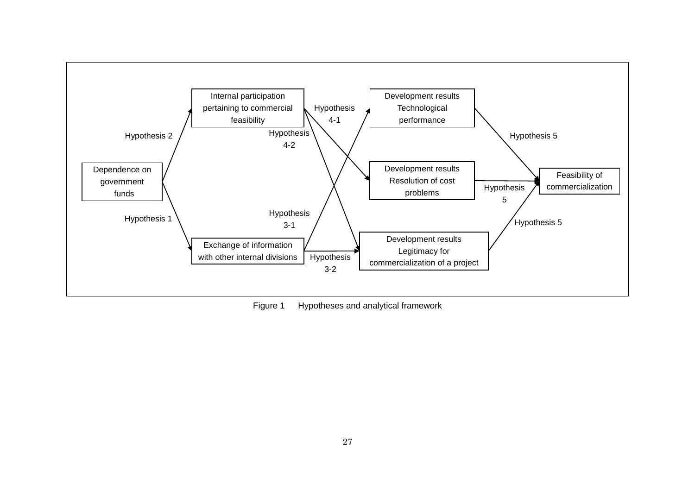

Figure 1 Hypotheses and analytical framework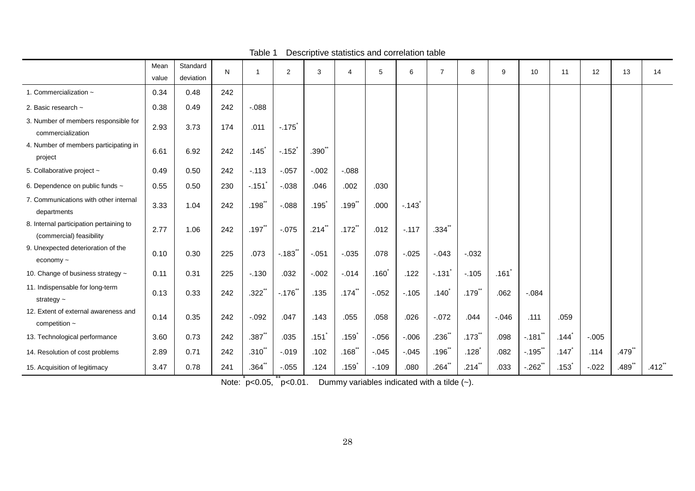|                                                                     | Mean  | Standard  | N   |                      | 2          | 3                 | $\overline{4}$       | 5                 | 6        | $\overline{7}$ | 8                    | 9        | 10                    | 11                                          | 12       | 13                   | 14                   |
|---------------------------------------------------------------------|-------|-----------|-----|----------------------|------------|-------------------|----------------------|-------------------|----------|----------------|----------------------|----------|-----------------------|---------------------------------------------|----------|----------------------|----------------------|
|                                                                     | value | deviation |     |                      |            |                   |                      |                   |          |                |                      |          |                       |                                             |          |                      |                      |
| 1. Commercialization ~                                              | 0.34  | 0.48      | 242 |                      |            |                   |                      |                   |          |                |                      |          |                       |                                             |          |                      |                      |
| 2. Basic research ~                                                 | 0.38  | 0.49      | 242 | $-0.088$             |            |                   |                      |                   |          |                |                      |          |                       |                                             |          |                      |                      |
| 3. Number of members responsible for<br>commercialization           | 2.93  | 3.73      | 174 | .011                 | $-175$     |                   |                      |                   |          |                |                      |          |                       |                                             |          |                      |                      |
| 4. Number of members participating in<br>project                    | 6.61  | 6.92      | 242 | $.145$ <sup>*</sup>  | $-.152$    | .390 <sup>°</sup> |                      |                   |          |                |                      |          |                       |                                             |          |                      |                      |
| 5. Collaborative project ~                                          | 0.49  | 0.50      | 242 | $-.113$              | $-.057$    | $-.002$           | $-0.088$             |                   |          |                |                      |          |                       |                                             |          |                      |                      |
| 6. Dependence on public funds ~                                     | 0.55  | 0.50      | 230 | $-.151$              | $-.038$    | .046              | .002                 | .030              |          |                |                      |          |                       |                                             |          |                      |                      |
| 7. Communications with other internal<br>departments                | 3.33  | 1.04      | 242 | .198                 | $-0.088$   | .195              | $.199$ <sup>**</sup> | .000              | $-143$   |                |                      |          |                       |                                             |          |                      |                      |
| 8. Internal participation pertaining to<br>(commercial) feasibility | 2.77  | 1.06      | 242 | $.197$ <sup>**</sup> | $-0.075$   | $.214$ **         | $.172$ <sup>**</sup> | .012              | $-.117$  | $.334$ **      |                      |          |                       |                                             |          |                      |                      |
| 9. Unexpected deterioration of the<br>economy $\sim$                | 0.10  | 0.30      | 225 | .073                 | $-183$     | $-.051$           | $-0.035$             | .078              | $-0.025$ | $-0.043$       | $-0.032$             |          |                       |                                             |          |                      |                      |
| 10. Change of business strategy ~                                   | 0.11  | 0.31      | 225 | $-130$               | .032       | $-.002$           | $-.014$              | .160 <sup>°</sup> | .122     | $-.131]$       | $-.105$              | .161     |                       |                                             |          |                      |                      |
| 11. Indispensable for long-term<br>strategy $\sim$                  | 0.13  | 0.33      | 242 | $.322$ **            | $-.176$ ** | .135              | $.174$ <sup>**</sup> | $-.052$           | $-.105$  | $.140*$        | $.179$ <sup>**</sup> | .062     | $-.084$               |                                             |          |                      |                      |
| 12. Extent of external awareness and<br>competition $\sim$          | 0.14  | 0.35      | 242 | $-.092$              | .047       | .143              | .055                 | .058              | .026     | $-072$         | .044                 | $-0.046$ | .111                  | .059                                        |          |                      |                      |
| 13. Technological performance                                       | 3.60  | 0.73      | 242 | $.387$ <sup>**</sup> | .035       | .151              | $.159$ <sup>*</sup>  | $-.056$           | $-0.006$ | $.236$ **      | $.173$ <sup>**</sup> | .098     | $-.181$ <sup>**</sup> | .144                                        | $-.005$  |                      |                      |
| 14. Resolution of cost problems                                     | 2.89  | 0.71      | 242 | $.310^{**}$          | $-0.019$   | .102              | $.168$ <sup>**</sup> | $-.045$           | $-.045$  | $.196$ **      | .128                 | .082     | $-0.195$ **           | .147                                        | .114     | $.479$ **            |                      |
| 15. Acquisition of legitimacy                                       | 3.47  | 0.78      | 241 | $.364$ **            | $-0.055$   | .124              | $.159$ <sup>*</sup>  | $-0.109$          | .080     | $.264$ **      | $.214$ **            | .033     | $-.262$ **            | $.153$ <sup><math>\overline{)}</math></sup> | $-0.022$ | $.489$ <sup>**</sup> | $.412$ <sup>**</sup> |

# Table 1 Descriptive statistics and correlation table

Note:  $\check{p}$ <0.05,  $\check{p}$  <0.01. Dummy variables indicated with a tilde (~).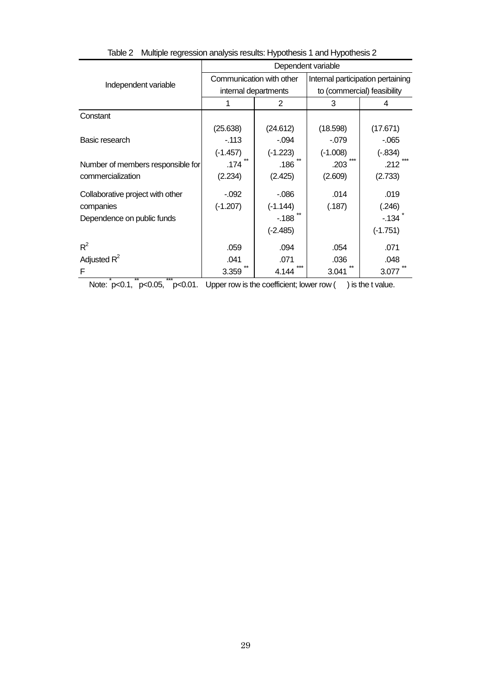|                                   | Dependent variable |                          |                                   |            |  |  |  |  |
|-----------------------------------|--------------------|--------------------------|-----------------------------------|------------|--|--|--|--|
| Independent variable              |                    | Communication with other | Internal participation pertaining |            |  |  |  |  |
|                                   |                    | internal departments     | to (commercial) feasibility       |            |  |  |  |  |
|                                   | 1                  | 2                        | 3                                 | 4          |  |  |  |  |
| Constant                          |                    |                          |                                   |            |  |  |  |  |
|                                   | (25.638)           | (24.612)                 | (18.598)                          | (17.671)   |  |  |  |  |
| Basic research                    | $-113$             | $-.094$                  | $-079$                            | $-065$     |  |  |  |  |
|                                   | $(-1.457)$         | $(-1.223)$               | $(-1.008)$                        | $(-.834)$  |  |  |  |  |
| Number of members responsible for | .174               | .186                     | $***$<br>.203                     | .212       |  |  |  |  |
| commercialization                 | (2.234)            | (2.425)                  | (2.609)                           | (2.733)    |  |  |  |  |
| Collaborative project with other  | $-0.92$            | $-0.086$                 | .014                              | .019       |  |  |  |  |
| companies                         | $(-1.207)$         | $(-1.144)$               | (.187)                            | (.246)     |  |  |  |  |
| Dependence on public funds        |                    | $-188$                   |                                   | - 134      |  |  |  |  |
|                                   |                    | $(-2.485)$               |                                   | $(-1.751)$ |  |  |  |  |
| $R^2$                             | .059               | .094                     | .054                              | .071       |  |  |  |  |
| Adjusted $R^2$                    | .041               | .071                     | .036                              | .048       |  |  |  |  |
| F                                 | 3.359              | 4.144                    | 3.041                             | 3.077      |  |  |  |  |

Table 2 Multiple regression analysis results: Hypothesis 1 and Hypothesis 2

Note:  $\int_{0}^{1} p < 0.1$ ,  $\int_{0}^{1} p < 0.05$ ,  $\int_{0}^{1} p < 0.01$ . Upper row is the coefficient; lower row ( ) is the t value.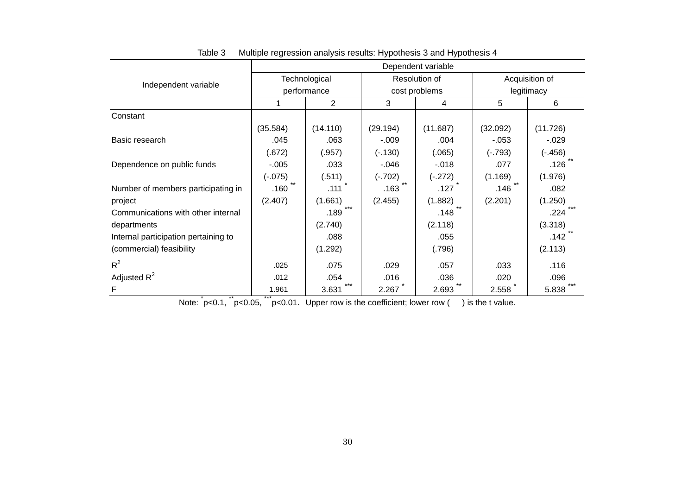|                                      | Dependent variable |               |           |               |                              |           |  |  |  |
|--------------------------------------|--------------------|---------------|-----------|---------------|------------------------------|-----------|--|--|--|
| Independent variable                 |                    | Technological |           | Resolution of | Acquisition of<br>legitimacy |           |  |  |  |
|                                      |                    | performance   |           | cost problems |                              |           |  |  |  |
|                                      |                    | 2             | 3         | 4             | 5                            | 6         |  |  |  |
| Constant                             |                    |               |           |               |                              |           |  |  |  |
|                                      | (35.584)           | (14.110)      | (29.194)  | (11.687)      | (32.092)                     | (11.726)  |  |  |  |
| Basic research                       | .045               | .063          | $-.009$   | .004          | $-0.053$                     | $-.029$   |  |  |  |
|                                      | (.672)             | (.957)        | $(-.130)$ | (.065)        | $(-.793)$                    | $(-.456)$ |  |  |  |
| Dependence on public funds           | $-.005$            | .033          | $-.046$   | $-0.018$      | .077                         | .126      |  |  |  |
|                                      | $(-.075)$          | (.511)        | $(-.702)$ | $(-.272)$     | (1.169)                      | (1.976)   |  |  |  |
| Number of members participating in   | .160               | .111          | .163      | .127          | .146                         | .082      |  |  |  |
| project                              | (2.407)            | (1.661)       | (2.455)   | (1.882)       | (2.201)                      | (1.250)   |  |  |  |
| Communications with other internal   |                    | .189          |           | .148          |                              | .224      |  |  |  |
| departments                          |                    | (2.740)       |           | (2.118)       |                              | (3.318)   |  |  |  |
| Internal participation pertaining to |                    | .088          |           | .055          |                              | .142      |  |  |  |
| (commercial) feasibility             |                    | (1.292)       |           | (.796)        |                              | (2.113)   |  |  |  |
| $R^2$                                | .025               | .075          | .029      | .057          | .033                         | .116      |  |  |  |
| Adjusted $R^2$                       | .012               | .054          | .016      | .036          | .020                         | .096      |  |  |  |
| F                                    | 1.961              | ***<br>3.631  | 2.267     | 2.693         | 2.558                        | 5.838     |  |  |  |

Table 3 Multiple regression analysis results: Hypothesis 3 and Hypothesis 4

Note:  $[p<0.1, \text{``p<0.05, ''''p<0.01}$ . Upper row is the coefficient; lower row () is the t value.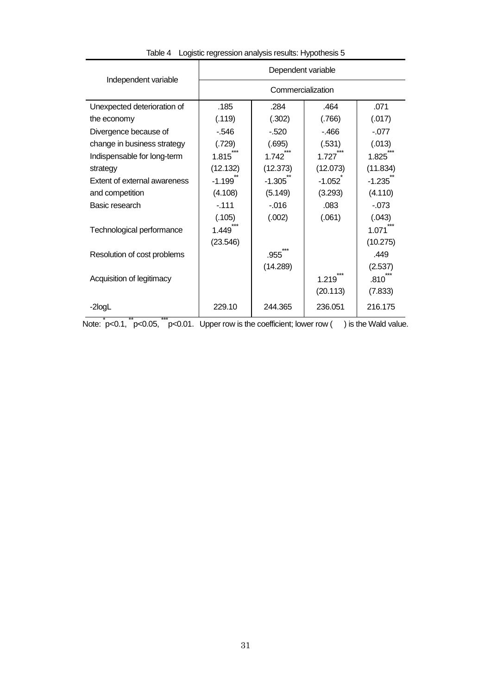|                              | Dependent variable |          |          |          |  |  |  |  |
|------------------------------|--------------------|----------|----------|----------|--|--|--|--|
| Independent variable         | Commercialization  |          |          |          |  |  |  |  |
| Unexpected deterioration of  | .185               | .284     | .464     | .071     |  |  |  |  |
| the economy                  | (.119)             | (.302)   | (.766)   | (.017)   |  |  |  |  |
| Divergence because of        | - 546              | $-520$   | $-466$   | $-077$   |  |  |  |  |
| change in business strategy  | (.729)             | (.695)   | (.531)   | (.013)   |  |  |  |  |
| Indispensable for long-term  | 1.815              | 1.742    | 1.727    | 1.825    |  |  |  |  |
| strategy                     | (12.132)           | (12.373) | (12.073) | (11.834) |  |  |  |  |
| Extent of external awareness | $-1.199$           | $-1.305$ | $-1.052$ | $-1.235$ |  |  |  |  |
| and competition              | (4.108)            | (5.149)  | (3.293)  | (4.110)  |  |  |  |  |
| Basic research               | $-111$             | $-0.016$ | .083     | $-073$   |  |  |  |  |
|                              | (.105)             | (.002)   | (.061)   | (.043)   |  |  |  |  |
| Technological performance    | 1.449              |          |          | 1.071    |  |  |  |  |
|                              | (23.546)           |          |          | (10.275) |  |  |  |  |
| Resolution of cost problems  |                    | .955     |          | .449     |  |  |  |  |
|                              |                    | (14.289) |          | (2.537)  |  |  |  |  |
| Acquisition of legitimacy    |                    |          | 1.219    | .810     |  |  |  |  |
|                              |                    |          | (20.113) | (7.833)  |  |  |  |  |
| -2logL                       | 229.10             | 244.365  | 236.051  | 216.175  |  |  |  |  |

Table 4 Logistic regression analysis results: Hypothesis 5

Note:  $\dot{p}$ <0.1,  $\dot{p}$ <0.05,  $\ddot{p}$ <0.01. Upper row is the coefficient; lower row ( ) is the Wald value.